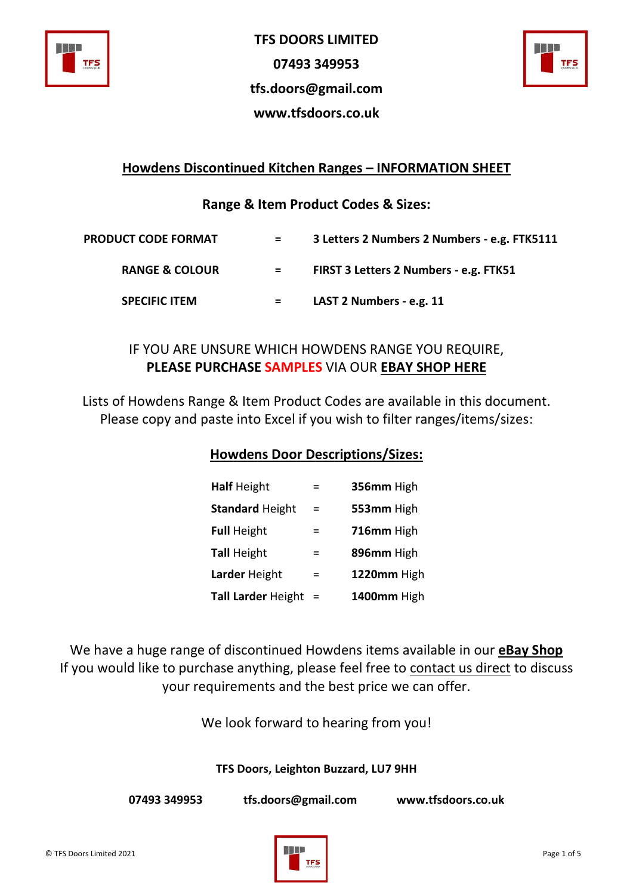

**TFS DOORS LIMITED 07493 349953 tfs.doors@gmail.com www.tfsdoors.co.uk**



## **Howdens Discontinued Kitchen Ranges – INFORMATION SHEET**

**Range & Item Product Codes & Sizes:**

| <b>PRODUCT CODE FORMAT</b> | $=$ | 3 Letters 2 Numbers 2 Numbers - e.g. FTK5111 |
|----------------------------|-----|----------------------------------------------|
| <b>RANGE &amp; COLOUR</b>  | $=$ | FIRST 3 Letters 2 Numbers - e.g. FTK51       |
| <b>SPECIFIC ITEM</b>       | $=$ | LAST 2 Numbers - e.g. 11                     |

# IF YOU ARE UNSURE WHICH HOWDENS RANGE YOU REQUIRE, **PLEASE PURCHASE SAMPLES** VIA OUR **[EBAY SHOP HERE](https://www.ebay.co.uk/itm/174593026946)**

Lists of Howdens Range & Item Product Codes are available in this document. Please copy and paste into Excel if you wish to filter ranges/items/sizes:

### **Howdens Door Descriptions/Sizes:**

| <b>Half Height</b>        | $=$      | 356mm High  |
|---------------------------|----------|-------------|
| <b>Standard Height</b>    | $=$      | 553mm High  |
| <b>Full Height</b>        | $\equiv$ | 716mm High  |
| <b>Tall Height</b>        | =        | 896mm High  |
| Larder Height             | $=$      | 1220mm High |
| <b>Tall Larder Height</b> | $\equiv$ | 1400mm High |

We have a huge range of discontinued Howdens items available in our **[eBay Shop](https://www.ebay.co.uk/str/TFSdoors?_trksid=p2047675.l2563)** If you would like to purchase anything, please feel free to contact us direct to discuss your requirements and the best price we can offer.

We look forward to hearing from you!

**TFS Doors, Leighton Buzzard, LU7 9HH**

**07493 349953 tfs.doors@gmail.com www.tfsdoors.co.uk**

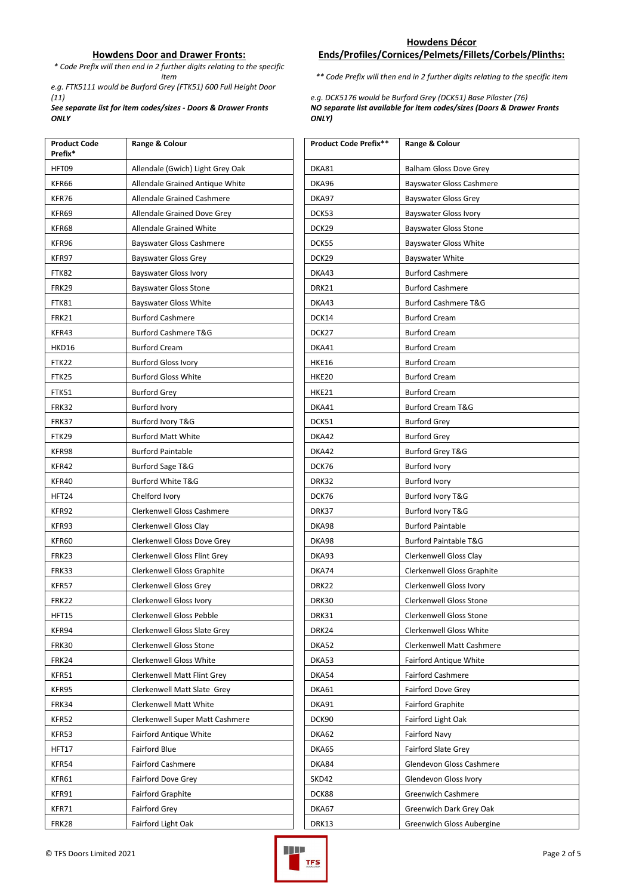### **Howdens Door and Drawer Fronts:**

*\* Code Prefix will then end in 2 further digits relating to the specific* 

*e.g. FTK5111 would be Burford Grey (FTK51) 600 Full Height Door (11) e.g. DCK5176 would be Burford Grey (DCK51) Base Pilaster (76)* 

*See separate list for item codes/sizes - Doors & Drawer Fronts ONLY*

### **Ends/Profiles/Cornices/Pelmets/Fillets/Corbels/Plinths:**

*item \*\* Code Prefix will then end in 2 further digits relating to the specific item* 

*NO separate list available for item codes/sizes (Doors & Drawer Fronts ONLY)*

| <b>Product Code</b><br>Prefix* | Range & Colour                   | Product Code Prefix** | Range & Colour                   |
|--------------------------------|----------------------------------|-----------------------|----------------------------------|
| HFT09                          | Allendale (Gwich) Light Grey Oak | DKA81                 | <b>Balham Gloss Dove Grey</b>    |
| KFR66                          | Allendale Grained Antique White  | DKA96                 | <b>Bayswater Gloss Cashmere</b>  |
| KFR76                          | Allendale Grained Cashmere       | DKA97                 | <b>Bayswater Gloss Grey</b>      |
| KFR69                          | Allendale Grained Dove Grey      | DCK53                 | <b>Bayswater Gloss Ivory</b>     |
| KFR68                          | Allendale Grained White          | DCK29                 | <b>Bayswater Gloss Stone</b>     |
| KFR96                          | <b>Bayswater Gloss Cashmere</b>  | DCK55                 | <b>Bayswater Gloss White</b>     |
| KFR97                          | <b>Bayswater Gloss Grey</b>      | DCK29                 | <b>Bayswater White</b>           |
| FTK82                          | <b>Bayswater Gloss Ivory</b>     | DKA43                 | <b>Burford Cashmere</b>          |
| FRK29                          | <b>Bayswater Gloss Stone</b>     | DRK21                 | <b>Burford Cashmere</b>          |
| FTK81                          | Bayswater Gloss White            | DKA43                 | <b>Burford Cashmere T&amp;G</b>  |
| FRK21                          | <b>Burford Cashmere</b>          | DCK14                 | <b>Burford Cream</b>             |
| KFR43                          | <b>Burford Cashmere T&amp;G</b>  | DCK27                 | <b>Burford Cream</b>             |
| HKD16                          | <b>Burford Cream</b>             | DKA41                 | <b>Burford Cream</b>             |
| FTK22                          | <b>Burford Gloss Ivory</b>       | <b>HKE16</b>          | <b>Burford Cream</b>             |
| FTK25                          | <b>Burford Gloss White</b>       | <b>HKE20</b>          | <b>Burford Cream</b>             |
| FTK51                          | <b>Burford Grey</b>              | <b>HKE21</b>          | <b>Burford Cream</b>             |
| FRK32                          | <b>Burford Ivory</b>             | DKA41                 | <b>Burford Cream T&amp;G</b>     |
| FRK37                          | Burford Ivory T&G                | DCK51                 | <b>Burford Grey</b>              |
| FTK29                          | <b>Burford Matt White</b>        | DKA42                 | <b>Burford Grey</b>              |
| KFR98                          | <b>Burford Paintable</b>         | DKA42                 | Burford Grey T&G                 |
| KFR42                          | Burford Sage T&G                 | DCK76                 | <b>Burford Ivory</b>             |
| KFR40                          | <b>Burford White T&amp;G</b>     | DRK32                 | <b>Burford Ivory</b>             |
| HFT24                          | Chelford Ivory                   | DCK76                 | Burford Ivory T&G                |
| KFR92                          | Clerkenwell Gloss Cashmere       | DRK37                 | Burford Ivory T&G                |
| KFR93                          | Clerkenwell Gloss Clay           | DKA98                 | <b>Burford Paintable</b>         |
| KFR60                          | Clerkenwell Gloss Dove Grey      | DKA98                 | <b>Burford Paintable T&amp;G</b> |
| FRK23                          | Clerkenwell Gloss Flint Grey     | DKA93                 | Clerkenwell Gloss Clay           |
| FRK33                          | Clerkenwell Gloss Graphite       | DKA74                 | Clerkenwell Gloss Graphite       |
| KFR57                          | Clerkenwell Gloss Grey           | DRK22                 | Clerkenwell Gloss Ivory          |
| <b>FRK22</b>                   | Clerkenwell Gloss Ivory          | DRK30                 | Clerkenwell Gloss Stone          |
| HFT15                          | Clerkenwell Gloss Pebble         | DRK31                 | Clerkenwell Gloss Stone          |
| KFR94                          | Clerkenwell Gloss Slate Grey     | DRK24                 | Clerkenwell Gloss White          |
| FRK30                          | Clerkenwell Gloss Stone          | DKA52                 | Clerkenwell Matt Cashmere        |
| <b>FRK24</b>                   | Clerkenwell Gloss White          | DKA53                 | <b>Fairford Antique White</b>    |
| KFR51                          | Clerkenwell Matt Flint Grey      | DKA54                 | <b>Fairford Cashmere</b>         |
| KFR95                          | Clerkenwell Matt Slate Grey      | DKA61                 | Fairford Dove Grey               |
| FRK34                          | Clerkenwell Matt White           | DKA91                 | <b>Fairford Graphite</b>         |
| KFR52                          | Clerkenwell Super Matt Cashmere  | DCK90                 | Fairford Light Oak               |
| KFR53                          | <b>Fairford Antique White</b>    | DKA62                 | <b>Fairford Navy</b>             |
| HFT17                          | Fairford Blue                    | DKA65                 | <b>Fairford Slate Grey</b>       |
| KFR54                          | <b>Fairford Cashmere</b>         | DKA84                 | Glendevon Gloss Cashmere         |
| KFR61                          | Fairford Dove Grey               | SKD42                 | Glendevon Gloss Ivory            |
| KFR91                          | Fairford Graphite                | DCK88                 | Greenwich Cashmere               |
| KFR71                          | <b>Fairford Grey</b>             | DKA67                 | Greenwich Dark Grey Oak          |
| FRK28                          | Fairford Light Oak               | <b>DRK13</b>          | Greenwich Gloss Aubergine        |

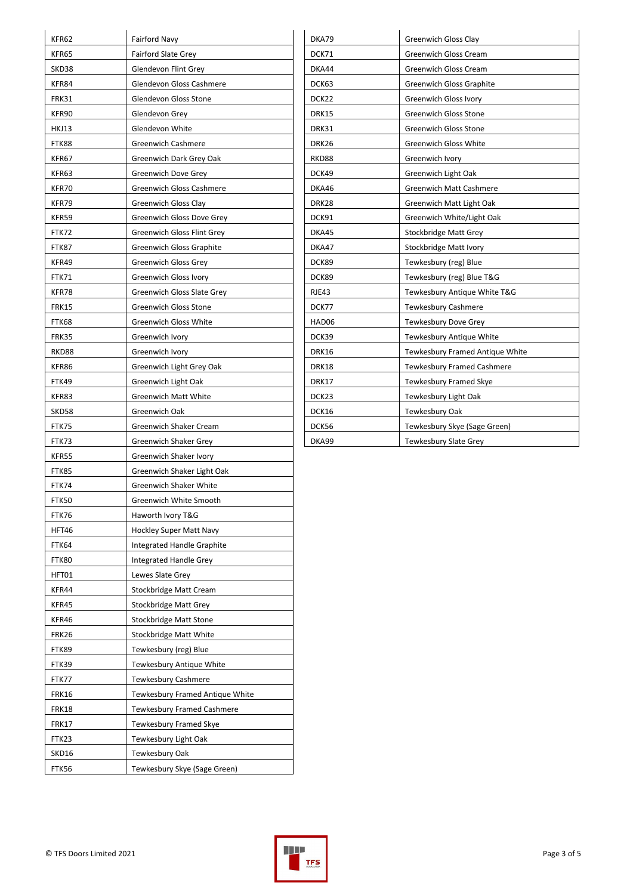| KFR62        | Fairford Navy                     | DKA79        | Greenwich Gloss Clay            |
|--------------|-----------------------------------|--------------|---------------------------------|
| KFR65        | <b>Fairford Slate Grey</b>        | DCK71        | <b>Greenwich Gloss Cream</b>    |
| SKD38        | Glendevon Flint Grey              | DKA44        | <b>Greenwich Gloss Cream</b>    |
| KFR84        | Glendevon Gloss Cashmere          | DCK63        | Greenwich Gloss Graphite        |
| <b>FRK31</b> | Glendevon Gloss Stone             | DCK22        | <b>Greenwich Gloss Ivory</b>    |
| KFR90        | Glendevon Grey                    | <b>DRK15</b> | <b>Greenwich Gloss Stone</b>    |
| <b>HKJ13</b> | Glendevon White                   | DRK31        | Greenwich Gloss Stone           |
| FTK88        | <b>Greenwich Cashmere</b>         | DRK26        | <b>Greenwich Gloss White</b>    |
| KFR67        | Greenwich Dark Grey Oak           | RKD88        | Greenwich Ivory                 |
| KFR63        | Greenwich Dove Grey               | DCK49        | Greenwich Light Oak             |
| KFR70        | <b>Greenwich Gloss Cashmere</b>   | DKA46        | Greenwich Matt Cashmere         |
| KFR79        | <b>Greenwich Gloss Clay</b>       | DRK28        | Greenwich Matt Light Oak        |
| KFR59        | Greenwich Gloss Dove Grey         | DCK91        | Greenwich White/Light Oak       |
| FTK72        | <b>Greenwich Gloss Flint Grey</b> | DKA45        | Stockbridge Matt Grey           |
| FTK87        | <b>Greenwich Gloss Graphite</b>   | DKA47        | Stockbridge Matt Ivory          |
| KFR49        | <b>Greenwich Gloss Grey</b>       | DCK89        | Tewkesbury (reg) Blue           |
| <b>FTK71</b> | Greenwich Gloss Ivory             | DCK89        | Tewkesbury (reg) Blue T&G       |
| KFR78        | <b>Greenwich Gloss Slate Grey</b> | RJE43        | Tewkesbury Antique White T&G    |
| <b>FRK15</b> | <b>Greenwich Gloss Stone</b>      | DCK77        | <b>Tewkesbury Cashmere</b>      |
| FTK68        | <b>Greenwich Gloss White</b>      | HAD06        | Tewkesbury Dove Grey            |
| <b>FRK35</b> | Greenwich Ivory                   | DCK39        | Tewkesbury Antique White        |
| RKD88        | Greenwich Ivory                   | DRK16        | Tewkesbury Framed Antique White |
| KFR86        | Greenwich Light Grey Oak          | DRK18        | Tewkesbury Framed Cashmere      |
| FTK49        | Greenwich Light Oak               | DRK17        | Tewkesbury Framed Skye          |
| KFR83        | <b>Greenwich Matt White</b>       | DCK23        | Tewkesbury Light Oak            |
| SKD58        | Greenwich Oak                     | DCK16        | Tewkesbury Oak                  |
| FTK75        | Greenwich Shaker Cream            | DCK56        | Tewkesbury Skye (Sage Green)    |
| FTK73        | Greenwich Shaker Grey             | DKA99        | Tewkesbury Slate Grey           |
| KFR55        | Greenwich Shaker Ivory            |              |                                 |
| FTK85        | Greenwich Shaker Light Oak        |              |                                 |
| FTK74        | Greenwich Shaker White            |              |                                 |
| FTK50        | Greenwich White Smooth            |              |                                 |
| FTK76        | Haworth Ivory T&G                 |              |                                 |
| HFT46        | <b>Hockley Super Matt Navy</b>    |              |                                 |
| FTK64        | Integrated Handle Graphite        |              |                                 |
| FTK80        | Integrated Handle Grey            |              |                                 |
| HFT01        | Lewes Slate Grey                  |              |                                 |
| KFR44        | Stockbridge Matt Cream            |              |                                 |
| KFR45        | <b>Stockbridge Matt Grey</b>      |              |                                 |
| KFR46        | Stockbridge Matt Stone            |              |                                 |
| <b>FRK26</b> | Stockbridge Matt White            |              |                                 |
| FTK89        | Tewkesbury (reg) Blue             |              |                                 |
| FTK39        | Tewkesbury Antique White          |              |                                 |
| FTK77        | Tewkesbury Cashmere               |              |                                 |
| <b>FRK16</b> | Tewkesbury Framed Antique White   |              |                                 |
| <b>FRK18</b> | Tewkesbury Framed Cashmere        |              |                                 |
| <b>FRK17</b> | Tewkesbury Framed Skye            |              |                                 |
| FTK23        | Tewkesbury Light Oak              |              |                                 |
|              |                                   |              |                                 |
| SKD16        | Tewkesbury Oak                    |              |                                 |

| DKA79        | <b>Greenwich Gloss Clay</b>     |
|--------------|---------------------------------|
| DCK71        | Greenwich Gloss Cream           |
| DKA44        | Greenwich Gloss Cream           |
| DCK63        | <b>Greenwich Gloss Graphite</b> |
| DCK22        | <b>Greenwich Gloss Ivory</b>    |
| <b>DRK15</b> | <b>Greenwich Gloss Stone</b>    |
| DRK31        | <b>Greenwich Gloss Stone</b>    |
| DRK26        | <b>Greenwich Gloss White</b>    |
| RKD88        | Greenwich Ivory                 |
| DCK49        | Greenwich Light Oak             |
| DKA46        | <b>Greenwich Matt Cashmere</b>  |
| <b>DRK28</b> | Greenwich Matt Light Oak        |
| DCK91        | Greenwich White/Light Oak       |
| DKA45        | Stockbridge Matt Grey           |
| DKA47        | Stockbridge Matt Ivory          |
| DCK89        | Tewkesbury (reg) Blue           |
| DCK89        | Tewkesbury (reg) Blue T&G       |
| RJE43        | Tewkesbury Antique White T&G    |
| DCK77        | <b>Tewkesbury Cashmere</b>      |
| HAD06        | Tewkesbury Dove Grey            |
| DCK39        | Tewkesbury Antique White        |
| <b>DRK16</b> | Tewkesbury Framed Antique White |
| <b>DRK18</b> | Tewkesbury Framed Cashmere      |
| <b>DRK17</b> | Tewkesbury Framed Skye          |
| DCK23        | Tewkesbury Light Oak            |
| DCK16        | Tewkesbury Oak                  |
| DCK56        | Tewkesbury Skye (Sage Green)    |
| DKA99        | Tewkesbury Slate Grey           |

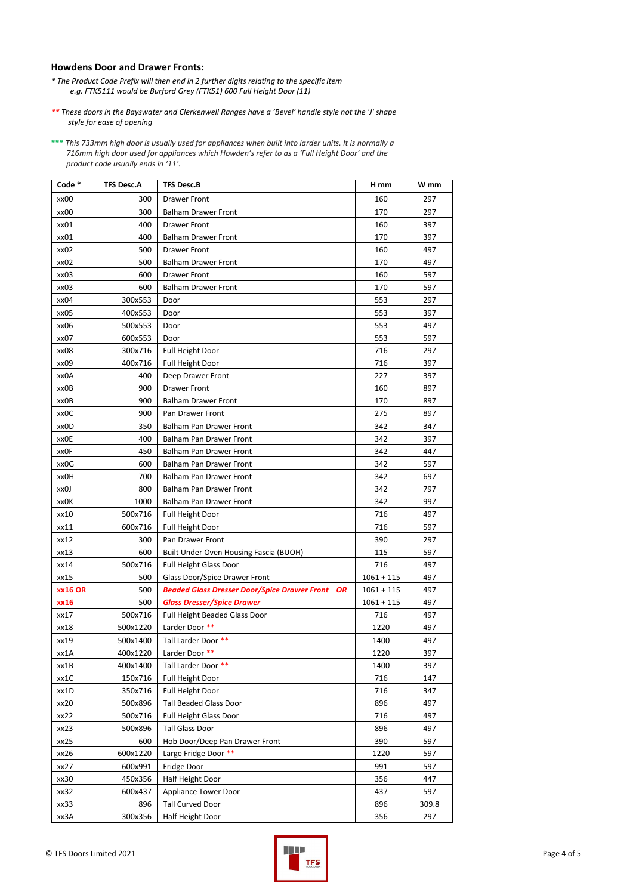### **Howdens Door and Drawer Fronts:**

- *\* The Product Code Prefix will then end in 2 further digits relating to the specific item e.g. FTK5111 would be Burford Grey (FTK51) 600 Full Height Door (11)*
- *\*\* These doors in the Bayswater and Clerkenwell Ranges have a 'Bevel' handle style not the 'J' shape style for ease of opening*

**\*\*\*** *This 733mm high door is usually used for appliances when built into larder units. It is normally a 716mm high door used for appliances which Howden's refer to as a 'Full Height Door' and the product code usually ends in '11'.* 

| Code *         | <b>TFS Desc.A</b> | <b>TFS Desc.B</b>                                         | H mm         | W mm  |
|----------------|-------------------|-----------------------------------------------------------|--------------|-------|
| xx00           | 300               | <b>Drawer Front</b>                                       | 160          | 297   |
| xx00           | 300               | Balham Drawer Front                                       | 170          | 297   |
| xx01           | 400               | <b>Drawer Front</b>                                       | 160          | 397   |
| xx01           | 400               | Balham Drawer Front                                       | 170          | 397   |
| xx02           | 500               | <b>Drawer Front</b>                                       | 160          | 497   |
| xx02           | 500               | <b>Balham Drawer Front</b>                                | 170          | 497   |
| xx03           | 600               | Drawer Front                                              | 160          | 597   |
| xx03           | 600               | <b>Balham Drawer Front</b>                                | 170          | 597   |
| xx04           | 300x553           | Door                                                      | 553          | 297   |
| xx05           | 400x553           | Door                                                      | 553          | 397   |
| xx06           | 500x553           | Door                                                      | 553          | 497   |
| xx07           | 600x553           | Door                                                      | 553          | 597   |
| xx08           | 300x716           | Full Height Door                                          | 716          | 297   |
| xx09           | 400x716           | <b>Full Height Door</b>                                   | 716          | 397   |
| xx0A           | 400               | Deep Drawer Front                                         | 227          | 397   |
| xx0B           | 900               | Drawer Front                                              | 160          | 897   |
| xx0B           | 900               | <b>Balham Drawer Front</b>                                | 170          | 897   |
| xx0C           | 900               | Pan Drawer Front                                          | 275          | 897   |
| xx0D           | 350               | Balham Pan Drawer Front                                   | 342          | 347   |
| xxOE           | 400               | Balham Pan Drawer Front                                   | 342          | 397   |
| xxOF           | 450               | <b>Balham Pan Drawer Front</b>                            | 342          | 447   |
| xx0G           | 600               | Balham Pan Drawer Front                                   | 342          | 597   |
| xx0H           | 700               | Balham Pan Drawer Front                                   | 342          | 697   |
| xx0J           | 800               | <b>Balham Pan Drawer Front</b>                            | 342          | 797   |
| xx0K           | 1000              | Balham Pan Drawer Front                                   | 342          | 997   |
| xx10           | 500x716           | <b>Full Height Door</b>                                   | 716          | 497   |
| xx11           | 600x716           | <b>Full Height Door</b>                                   | 716          | 597   |
| xx12           | 300               | Pan Drawer Front                                          | 390          | 297   |
| xx13           | 600               | Built Under Oven Housing Fascia (BUOH)                    | 115          | 597   |
| xx14           | 500x716           | <b>Full Height Glass Door</b>                             | 716          | 497   |
| xx15           | 500               | Glass Door/Spice Drawer Front                             | $1061 + 115$ | 497   |
| <b>xx16 OR</b> | 500               | <b>Beaded Glass Dresser Door/Spice Drawer Front</b><br>OR | $1061 + 115$ | 497   |
| xx16           | 500               | <b>Glass Dresser/Spice Drawer</b>                         | $1061 + 115$ | 497   |
| xx17           | 500x716           | Full Height Beaded Glass Door                             | 716          | 497   |
| xx18           | 500x1220          | Larder Door **                                            | 1220         | 497   |
| xx19           | 500x1400          | Tall Larder Door **                                       | 1400         | 497   |
| xx1A           | 400x1220          | Larder Door **                                            | 1220         | 397   |
| xx1B           | 400x1400          | Tall Larder Door **                                       | 1400         | 397   |
| xx1C           | 150x716           | <b>Full Height Door</b>                                   | 716          | 147   |
| xx1D           | 350x716           | <b>Full Height Door</b>                                   | 716          | 347   |
| xx20           | 500x896           | <b>Tall Beaded Glass Door</b>                             | 896          | 497   |
| xx22           | 500x716           | <b>Full Height Glass Door</b>                             | 716          | 497   |
| xx23           | 500x896           | <b>Tall Glass Door</b>                                    | 896          | 497   |
| xx25           | 600               | Hob Door/Deep Pan Drawer Front                            | 390          | 597   |
| xx26           | 600x1220          | Large Fridge Door **                                      | 1220         | 597   |
| xx27           | 600x991           | Fridge Door                                               | 991          | 597   |
| xx30           | 450x356           | Half Height Door                                          | 356          | 447   |
| xx32           | 600x437           | <b>Appliance Tower Door</b>                               | 437          | 597   |
| xx33           | 896               | <b>Tall Curved Door</b>                                   | 896          | 309.8 |
| xx3A           | 300x356           | Half Height Door                                          | 356          | 297   |